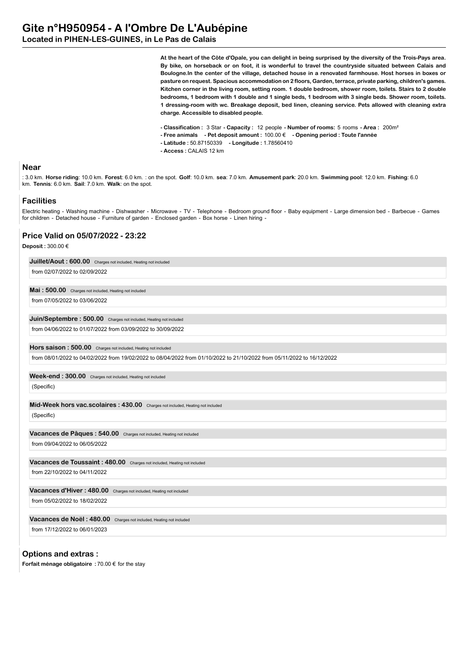**Located in PIHEN-LES-GUINES, in Le Pas de Calais**

**At the heart of the Côte d'Opale, you can delight in being surprised by the diversity of the Trois-Pays area. By bike, on horseback or on foot, it is wonderful to travel the countryside situated between Calais and Boulogne.In the center of the village, detached house in a renovated farmhouse. Host horses in boxes or pasture on request. Spacious accommodation on 2 floors, Garden, terrace, private parking, children's games. Kitchen corner in the living room, setting room. 1 double bedroom, shower room, toilets. Stairs to 2 double bedrooms, 1 bedroom with 1 double and 1 single beds, 1 bedroom with 3 single beds. Shower room, toilets. 1 dressing-room with wc. Breakage deposit, bed linen, cleaning service. Pets allowed with cleaning extra charge. Accessible to disabled people.**

- **Classification :** 3 Star  **Capacity :** 12 people  **Number of rooms:** 5 rooms  **Area :** 200m²
- **Free animals Pet deposit amount :** 100.00 €  **Opening period : Toute l'année**
- **Latitude :** 50.87150339  **Longitude :** 1.78560410
- **Access :** CALAIS 12 km

### **Near**

: 3.0 km. **Horse riding**: 10.0 km. **Forest**: 6.0 km. : on the spot. **Golf**: 10.0 km. **sea**: 7.0 km. **Amusement park**: 20.0 km. **Swimming pool**: 12.0 km. **Fishing**: 6.0 km. **Tennis**: 6.0 km. **Sail**: 7.0 km. **Walk**: on the spot.

### **Facilities**

Electric heating - Washing machine - Dishwasher - Microwave - TV - Telephone - Bedroom ground floor - Baby equipment - Large dimension bed - Barbecue - Games for children - Detached house - Furniture of garden - Enclosed garden - Box horse - Linen hiring -

#### **Price Valid on 05/07/2022 - 23:22**

**Deposit :** 300.00 €

| Juillet/Aout: 600.00 Charges not included, Heating not included                                                         |  |
|-------------------------------------------------------------------------------------------------------------------------|--|
| from 02/07/2022 to 02/09/2022                                                                                           |  |
| Mai: 500.00 Charges not included, Heating not included                                                                  |  |
| from 07/05/2022 to 03/06/2022                                                                                           |  |
| Juin/Septembre: 500.00 Charges not included, Heating not included                                                       |  |
| from 04/06/2022 to 01/07/2022 from 03/09/2022 to 30/09/2022                                                             |  |
| Hors saison: 500.00 Charges not included, Heating not included                                                          |  |
| from 08/01/2022 to 04/02/2022 from 19/02/2022 to 08/04/2022 from 01/10/2022 to 21/10/2022 from 05/11/2022 to 16/12/2022 |  |
| Week-end: 300.00 Charges not included, Heating not included                                                             |  |
| (Specific)                                                                                                              |  |
| Mid-Week hors vac.scolaires: 430.00 Charges not included, Heating not included                                          |  |
| (Specific)                                                                                                              |  |
| Vacances de Pâques : 540.00 Charges not included, Heating not included                                                  |  |
| from 09/04/2022 to 06/05/2022                                                                                           |  |
| Vacances de Toussaint : 480.00 Charges not included, Heating not included                                               |  |
| from 22/10/2022 to 04/11/2022                                                                                           |  |
| Vacances d'Hiver : 480.00 Charges not included, Heating not included                                                    |  |
| from 05/02/2022 to 18/02/2022                                                                                           |  |
| Vacances de Noël: 480.00<br>Charges not included, Heating not included                                                  |  |
| from 17/12/2022 to 06/01/2023                                                                                           |  |

**Options and extras :**

**Forfait ménage obligatoire :** 70.00 € for the stay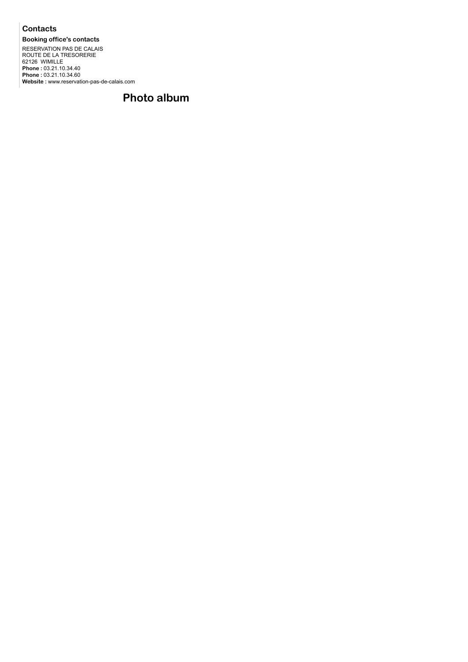## **Contacts**

**Booking office's contacts** RESERVATION PAS DE CALAIS ROUTE DE LA TRESORERIE 62126 WIMILLE **Phone :** 03.21.10.34.40 **Phone :** 03.21.10.34.60 **Website :** www.reservation-pas-de-calais.com

# **Photo album**